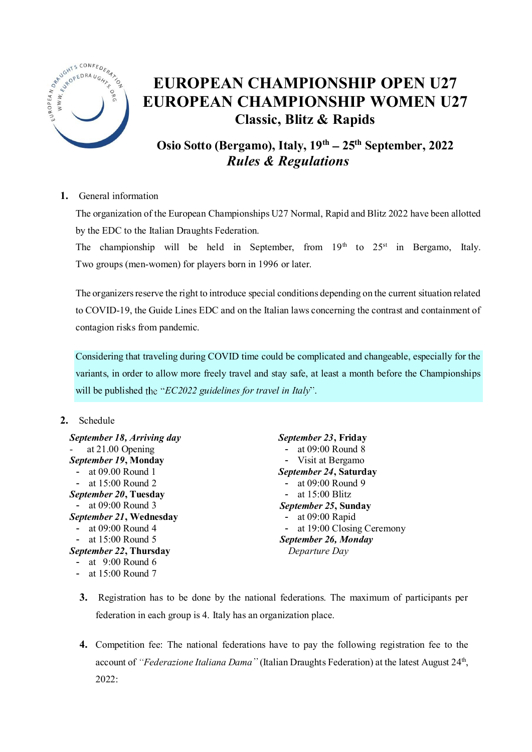

# EUROPEAN CHAMPIONSHIP OPEN U27 EUROPEAN CHAMPIONSHIP WOMEN U27 Classic, Blitz & Rapids

Osio Sotto (Bergamo), Italy,  $19<sup>th</sup> - 25<sup>th</sup>$  September, 2022 *Rules & Regulations*

## 1. General information

The organization of the European Championships U27 Normal, Rapid and Blitz 2022 have been allotted by the EDC to the Italian Draughts Federation.

The championship will be held in September, from  $19<sup>th</sup>$  to  $25<sup>st</sup>$  in Bergamo, Italy. Two groups (men-women) for players born in 1996 or later.

The organizers reserve the right to introduce special conditions depending on the current situation related to COVID-19, the Guide Lines EDC and on the Italian laws concerning the contrast and containment of contagion risks from pandemic.

Considering that traveling during COVID time could be complicated and changeable, especially for the variants, in order to allow more freely travel and stay safe, at least a month before the Championships will be published the "*EC2022 guidelines for travel in Italy*".

## 2. Schedule

| September 18, Arriving day   | September 23, Friday      |
|------------------------------|---------------------------|
| at 21.00 Opening             | - at $09:00$ Round 8      |
| September 19, Monday         | - Visit at Bergamo        |
| - at 09.00 Round 1           | September 24, Saturday    |
| - at $15:00$ Round 2         | - at $09:00$ Round 9      |
| <i>September 20, Tuesday</i> | - at $15:00$ Blitz        |
| - at $09:00$ Round 3         | September 25, Sunday      |
| September 21, Wednesday      | - at $09:00$ Rapid        |
| - at $09:00$ Round 4         | at 19:00 Closing Ceremony |
| - at $15:00$ Round 5         | September 26, Monday      |
| September 22, Thursday       | Departure Day             |
| - at $9:00$ Round 6          |                           |
| - at $15:00$ Round 7         |                           |

- 3. Registration has to be done by the national federations. The maximum of participants per federation in each group is 4. Italy has an organization place.
- 4. Competition fee: The national federations have to pay the following registration fee to the account of "Federazione Italiana Dama" (Italian Draughts Federation) at the latest August 24<sup>th</sup>, 2022: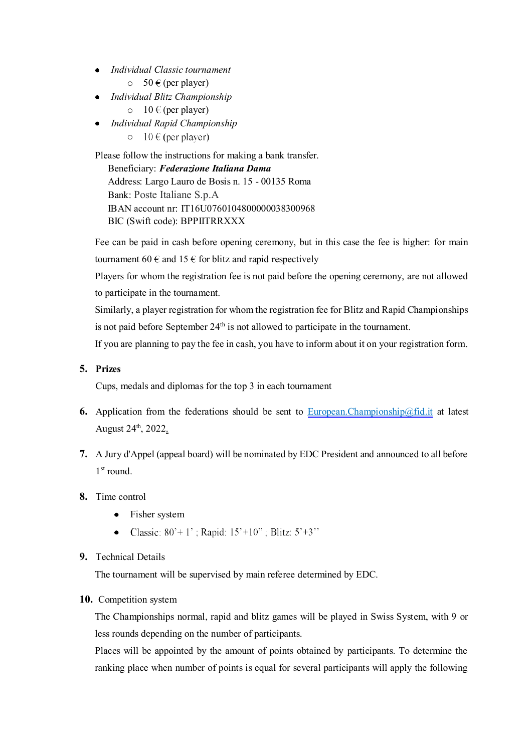- *Individual Classic tournament*
	- $\circ$  50 € (per player)
- *Individual Blitz Championship*
	- $\circ$  10 € (per player)
- *Individual Rapid Championship*
	- $\circ$  10 € (per player)

Please follow the instructions for making a bank transfer. Beneficiary: *Federazione Italiana Dama* Address: Largo Lauro de Bosis n. 15 - 00135 Roma Bank: Poste Italiane S.p.A IBAN account nr: IT16U0760104800000038300968 BIC (Swift code): BPPIITRRXXX

Fee can be paid in cash before opening ceremony, but in this case the fee is higher: for main tournament 60  $\epsilon$  and 15  $\epsilon$  for blitz and rapid respectively

Players for whom the registration fee is not paid before the opening ceremony, are not allowed to participate in the tournament.

Similarly, a player registration for whom the registration fee for Blitz and Rapid Championships is not paid before September 24th is not allowed to participate in the tournament.

If you are planning to pay the fee in cash, you have to inform about it on your registration form.

## 5. Prizes

Cups, medals and diplomas for the top 3 in each tournament

- 6. Application from the federations should be sent to [European.Championship@fid.it](mailto:European.Championship@fid.it) at latest August 24<sup>th</sup>, 2022.
- 7. A Jury d'Appel (appeal board) will be nominated by EDC President and announced to all before 1<sup>st</sup> round.
- 8. Time control
	- Fisher system
	- Classic:  $80^{\circ}+1^{\circ}$ ; Rapid:  $15^{\circ}+10^{\circ}$ ; Blitz:  $5^{\circ}+3^{\circ}$
- 9. Technical Details

The tournament will be supervised by main referee determined by EDC.

## 10. Competition system

The Championships normal, rapid and blitz games will be played in Swiss System, with 9 or less rounds depending on the number of participants.

Places will be appointed by the amount of points obtained by participants. To determine the ranking place when number of points is equal for several participants will apply the following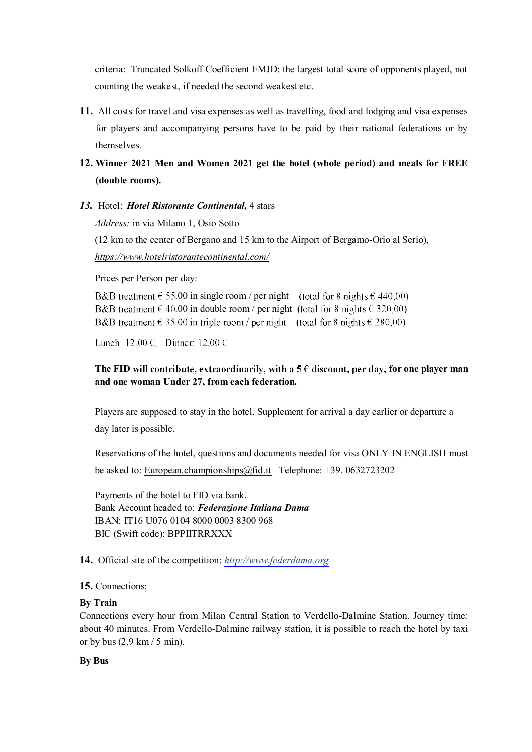criteria: Truncated Solkoff Coefficient FMJD: the largest total score of opponents played, not counting the weakest, if needed the second weakest etc.

11. All costs for travel and visa expenses as well as travelling, food and lodging and visa expenses for players and accompanying persons have to be paid by their national federations or by themselves.

## 12. Winner 2021 Men and Women 2021 get the hotel (whole period) and meals for FREE (double rooms).

*13.* Hotel: *Hotel Ristorante Continental,* 4 stars

*Address:* in via Milano 1, Osio Sotto

(12 km to the center of Bergano and 15 km to the Airport of Bergamo-Orio al Serio), *<https://www.hotelristorantecontinental.com/>*

Prices per Person per day:

B&B treatment  $\epsilon$  55.00 in single room / per night (total for 8 nights  $\epsilon$  440,00) B&B treatment  $\in$  40.00 in double room / per night (total for 8 nights  $\in$  320.00) B&B treatment  $\in$  35.00 in triple room / per night (total for 8 nights  $\in$  280,00)

Lunch:  $12,00 \in$ ; Dinner:  $12,00 \in$ 

## The FID will contribute, extraordinarily, with a  $5 \in$  discount, per day, for one player man and one woman Under 27, from each federation.

Players are supposed to stay in the hotel. Supplement for arrival a day earlier or departure a day later is possible.

Reservations of the hotel, questions and documents needed for visa ONLY IN ENGLISH must be asked to: [European.championships@fid.it](mailto:European.championships@fid.it) Telephone: +39. 0632723202

Payments of the hotel to FID via bank. Bank Account headed to: *Federazione Italiana Dama* IBAN: IT16 U076 0104 8000 0003 8300 968 BIC (Swift code): BPPIITRRXXX

## 14. Official site of the competition: *[http://www.federdama.org](http://www.federdama.org/)*

## 15. Connections:

## By Train

Connections every hour from Milan Central Station to Verdello-Dalmine Station. Journey time: about 40 minutes. From Verdello-Dalmine railway station, it is possible to reach the hotel by taxi or by bus  $(2,9 \text{ km} / 5 \text{ min})$ .

#### By Bus